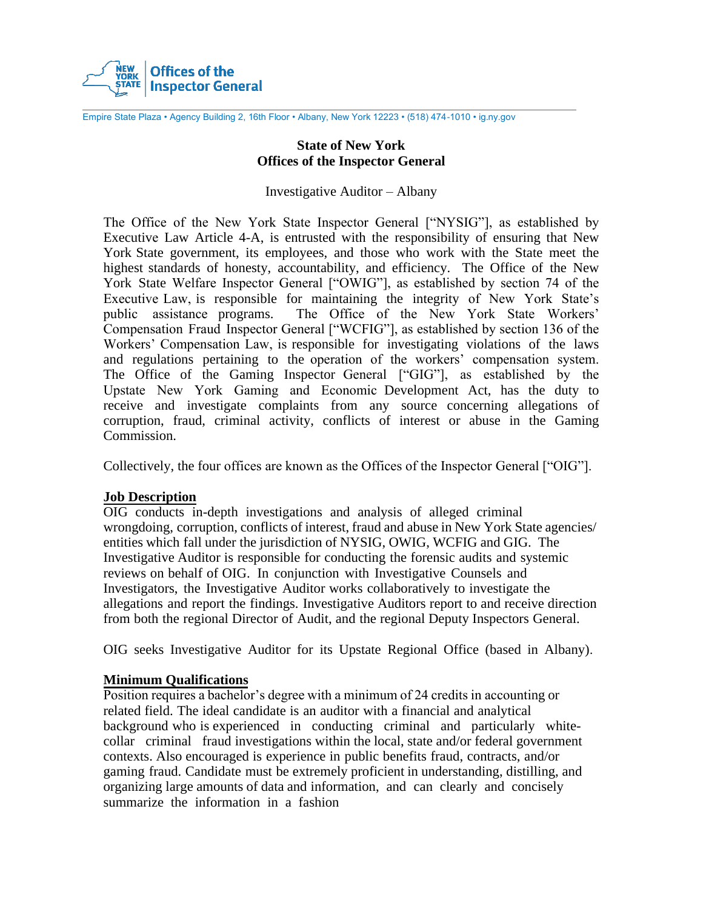

Empire State Plaza • Agency Building 2, 16th Floor • Albany, New York 12223 • (518) 474-1010 • ig.ny.gov

### **State of New York Offices of the Inspector General**

#### Investigative Auditor – Albany

The Office of the New York State Inspector General ["NYSIG"], as established by Executive Law Article 4-A, is entrusted with the responsibility of ensuring that New York State government, its employees, and those who work with the State meet the highest standards of honesty, accountability, and efficiency. The Office of the New York State Welfare Inspector General ["OWIG"], as established by section 74 of the Executive Law, is responsible for maintaining the integrity of New York State's public assistance programs. The Office of the New York State Workers' Compensation Fraud Inspector General ["WCFIG"], as established by section 136 of the Workers' Compensation Law, is responsible for investigating violations of the laws and regulations pertaining to the operation of the workers' compensation system. The Office of the Gaming Inspector General ["GIG"], as established by the Upstate New York Gaming and Economic Development Act, has the duty to receive and investigate complaints from any source concerning allegations of corruption, fraud, criminal activity, conflicts of interest or abuse in the Gaming Commission.

Collectively, the four offices are known as the Offices of the Inspector General ["OIG"].

### **Job Description**

OIG conducts in-depth investigations and analysis of alleged criminal wrongdoing, corruption, conflicts of interest, fraud and abuse in New York State agencies/ entities which fall under the jurisdiction of NYSIG, OWIG, WCFIG and GIG. The Investigative Auditor is responsible for conducting the forensic audits and systemic reviews on behalf of OIG. In conjunction with Investigative Counsels and Investigators, the Investigative Auditor works collaboratively to investigate the allegations and report the findings. Investigative Auditors report to and receive direction from both the regional Director of Audit, and the regional Deputy Inspectors General.

OIG seeks Investigative Auditor for its Upstate Regional Office (based in Albany).

### **Minimum Qualifications**

Position requires a bachelor's degree with a minimum of 24 credits in accounting or related field. The ideal candidate is an auditor with a financial and analytical background who is experienced in conducting criminal and particularly whitecollar criminal fraud investigations within the local, state and/or federal government contexts. Also encouraged is experience in public benefits fraud, contracts, and/or gaming fraud. Candidate must be extremely proficient in understanding, distilling, and organizing large amounts of data and information, and can clearly and concisely summarize the information in a fashion